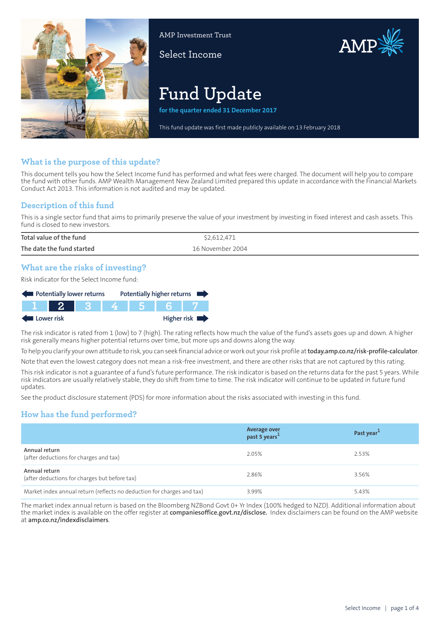

AMP Investment Trust

Select Income



# **Fund Update**

**for the quarter ended 31 December 2017**

This fund update was first made publicly available on 13 February 2018

#### **What is the purpose of this update?**

This document tells you how the Select Income fund has performed and what fees were charged. The document will help you to compare the fund with other funds. AMP Wealth Management New Zealand Limited prepared this update in accordance with the Financial Markets Conduct Act 2013. This information is not audited and may be updated.

## **Description of this fund**

This is a single sector fund that aims to primarily preserve the value of your investment by investing in fixed interest and cash assets. This fund is closed to new investors.

| Total value of the fund   | \$2,612,471      |
|---------------------------|------------------|
| The date the fund started | 16 November 2004 |

## **What are the risks of investing?**

Risk indicator for the Select Income fund:

| Potentially lower returns                                                                                     |  |  |  | Potentially higher returns |
|---------------------------------------------------------------------------------------------------------------|--|--|--|----------------------------|
| a kacamatan ing Kabupatén Ing Kabupatén Ing Kabupatén Ing Kabupatén Ing Kabupatén Ing Kabupatén Ing Kabupatén |  |  |  |                            |
| Lower risk                                                                                                    |  |  |  | Higher risk $\blacksquare$ |

The risk indicator is rated from 1 (low) to 7 (high). The rating reflects how much the value of the fund's assets goes up and down. A higher risk generally means higher potential returns over time, but more ups and downs along the way.

To help you clarify your own attitude to risk, you can seek financial advice orwork out yourrisk profile at**[today.amp.co.nz/risk-profile-calculator](http://today.amp.co.nz/risk-profile-calculator)**.

Note that even the lowest category does not mean a risk-free investment, and there are other risks that are not captured by this rating.

This risk indicator is not a guarantee of a fund's future performance. The risk indicator is based on the returns data for the past 5 years. While risk indicators are usually relatively stable, they do shift from time to time. The risk indicator will continue to be updated in future fund updates.

See the product disclosure statement (PDS) for more information about the risks associated with investing in this fund.

## **How has the fund performed?**

|                                                                        | Average over<br>past 5 years <sup>1</sup> | Past year <sup>1</sup> |
|------------------------------------------------------------------------|-------------------------------------------|------------------------|
| Annual return<br>(after deductions for charges and tax)                | 2.05%                                     | 2.53%                  |
| Annual return<br>(after deductions for charges but before tax)         | 2.86%                                     | 3.56%                  |
| Market index annual return (reflects no deduction for charges and tax) | 3.99%                                     | 5.43%                  |

The market index annual return is based on the Bloomberg NZBond Govt 0+ Yr Index (100% hedged to NZD). Additional information about the market index is available on the offer register at **[companiesoffice.govt.nz/disclose.](http://companiesoffice.govt.nz/disclose)** Index disclaimers can be found on the AMP website at **[amp.co.nz/indexdisclaimers](http://amp.co.nz/indexdisclaimers)**.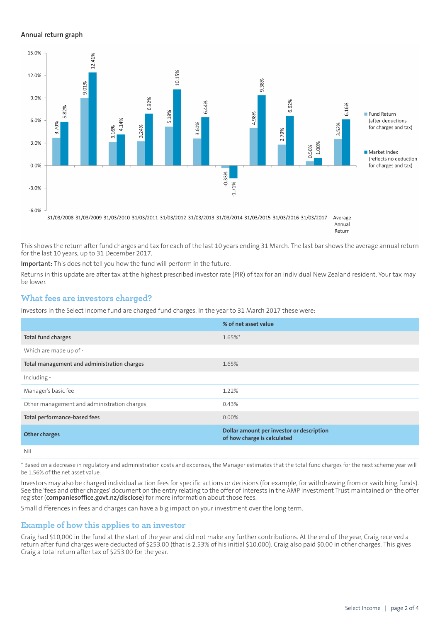#### **Annual return graph**



Annual Return

This shows the return after fund charges and tax for each of the last 10 years ending 31 March. The last bar shows the average annual return for the last 10 years, up to 31 December 2017.

**Important:** This does not tell you how the fund will perform in the future.

Returns in this update are after tax at the highest prescribed investor rate (PIR) of tax for an individual New Zealand resident. Your tax may be lower.

#### **What fees are investors charged?**

Investors in the Select Income fund are charged fund charges. In the year to 31 March 2017 these were:

|                                             | % of net asset value                                                     |
|---------------------------------------------|--------------------------------------------------------------------------|
| Total fund charges                          | $1.65\%$ *                                                               |
| Which are made up of -                      |                                                                          |
| Total management and administration charges | 1.65%                                                                    |
| Including -                                 |                                                                          |
| Manager's basic fee                         | 1.22%                                                                    |
| Other management and administration charges | 0.43%                                                                    |
| Total performance-based fees                | $0.00\%$                                                                 |
| <b>Other charges</b>                        | Dollar amount per investor or description<br>of how charge is calculated |
| <b>NIL</b>                                  |                                                                          |

\* Based on a decrease in regulatory and administration costs and expenses, the Manager estimates that the total fund charges for the next scheme year will be 1.56% of the net asset value.

Investors may also be charged individual action fees for specific actions or decisions (for example, for withdrawing from or switching funds). See the 'fees and other charges' document on the entry relating to the offer of interests in the AMP Investment Trust maintained on the offer register (**[companiesoffice.govt.nz/disclose](http://companiesoffice.govt.nz/disclose)**) for more information about those fees.

Small differences in fees and charges can have a big impact on your investment over the long term.

#### **Example of how this applies to an investor**

Craig had \$10,000 in the fund at the start of the year and did not make any further contributions. At the end of the year, Craig received a return after fund charges were deducted of \$253.00 (that is 2.53% of his initial \$10,000). Craig also paid \$0.00 in other charges. This gives Craig a total return after tax of \$253.00 for the year.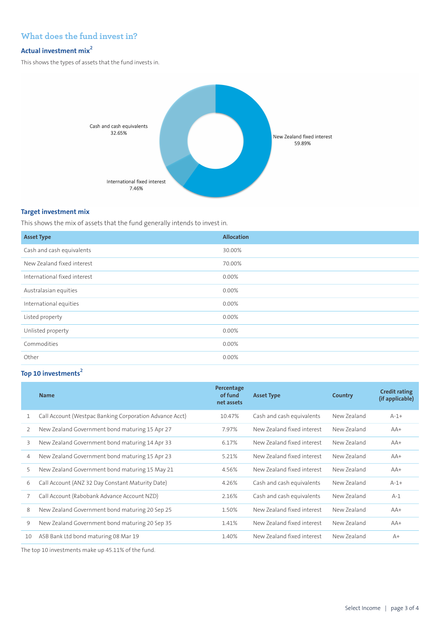## **What does the fund invest in?**

#### **Actual investment mix<sup>2</sup>**

This shows the types of assets that the fund invests in.



#### **Target investment mix**

This shows the mix of assets that the fund generally intends to invest in.

| <b>Asset Type</b>            | <b>Allocation</b> |
|------------------------------|-------------------|
| Cash and cash equivalents    | 30.00%            |
| New Zealand fixed interest   | 70.00%            |
| International fixed interest | 0.00%             |
| Australasian equities        | $0.00\%$          |
| International equities       | 0.00%             |
| Listed property              | 0.00%             |
| Unlisted property            | 0.00%             |
| Commodities                  | 0.00%             |
| Other                        | 0.00%             |

# **Top 10 investments<sup>2</sup>**

|    | <b>Name</b>                                             | Percentage<br>of fund<br>net assets | <b>Asset Type</b>          | Country     | <b>Credit rating</b><br>(if applicable) |
|----|---------------------------------------------------------|-------------------------------------|----------------------------|-------------|-----------------------------------------|
| 1  | Call Account (Westpac Banking Corporation Advance Acct) | 10.47%                              | Cash and cash equivalents  | New Zealand | $A-1+$                                  |
| 2  | New Zealand Government bond maturing 15 Apr 27          | 7.97%                               | New Zealand fixed interest | New Zealand | $AA+$                                   |
| 3  | New Zealand Government bond maturing 14 Apr 33          | 6.17%                               | New Zealand fixed interest | New Zealand | $AA+$                                   |
| 4  | New Zealand Government bond maturing 15 Apr 23          | 5.21%                               | New Zealand fixed interest | New Zealand | $AA+$                                   |
| 5  | New Zealand Government bond maturing 15 May 21          | 4.56%                               | New Zealand fixed interest | New Zealand | $AA+$                                   |
| 6  | Call Account (ANZ 32 Day Constant Maturity Date)        | 4.26%                               | Cash and cash equivalents  | New Zealand | $A-1+$                                  |
| 7  | Call Account (Rabobank Advance Account NZD)             | 2.16%                               | Cash and cash equivalents  | New Zealand | $A-1$                                   |
| 8  | New Zealand Government bond maturing 20 Sep 25          | 1.50%                               | New Zealand fixed interest | New Zealand | $AA+$                                   |
| 9  | New Zealand Government bond maturing 20 Sep 35          | 1.41%                               | New Zealand fixed interest | New Zealand | $AA+$                                   |
| 10 | ASB Bank Ltd bond maturing 08 Mar 19                    | 1.40%                               | New Zealand fixed interest | New Zealand | $A+$                                    |

The top 10 investments make up 45.11% of the fund.